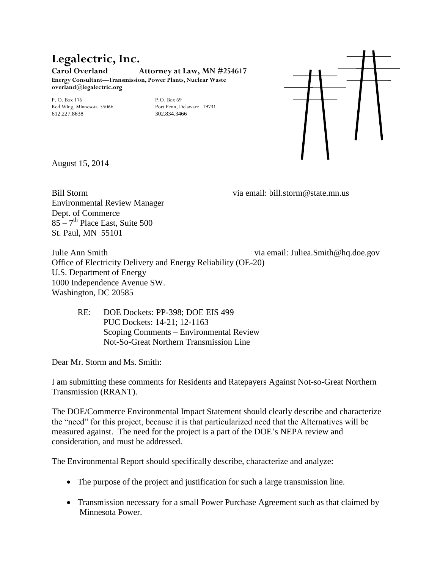## **Legalectric, Inc.**

**Carol Overland Attorney at Law, MN #254617**

**Energy Consultant—Transmission, Power Plants, Nuclear Waste overland@legalectric.org**

P. O. Box 176<br>
Red Wing, Minnesota 55066<br>
Port Penn, Delaware 19731 Red Wing, Minnesota 55066 612.227.8638 302.834.3466



August 15, 2014

Environmental Review Manager Dept. of Commerce  $85 - 7$ <sup>th</sup> Place East, Suite 500 St. Paul, MN 55101

Bill Storm via email: bill.storm@state.mn.us

Julie Ann Smith via email: Juliea.Smith@hq.doe.gov Office of Electricity Delivery and Energy Reliability (OE-20) U.S. Department of Energy 1000 Independence Avenue SW. Washington, DC 20585

| DOE Dockets: PP-398; DOE EIS 499<br>RE: I |
|-------------------------------------------|
| PUC Dockets: 14-21; 12-1163               |
| Scoping Comments – Environmental Review   |
| Not-So-Great Northern Transmission Line   |
|                                           |

Dear Mr. Storm and Ms. Smith:

I am submitting these comments for Residents and Ratepayers Against Not-so-Great Northern Transmission (RRANT).

The DOE/Commerce Environmental Impact Statement should clearly describe and characterize the "need" for this project, because it is that particularized need that the Alternatives will be measured against. The need for the project is a part of the DOE's NEPA review and consideration, and must be addressed.

The Environmental Report should specifically describe, characterize and analyze:

- The purpose of the project and justification for such a large transmission line.
- Transmission necessary for a small Power Purchase Agreement such as that claimed by Minnesota Power.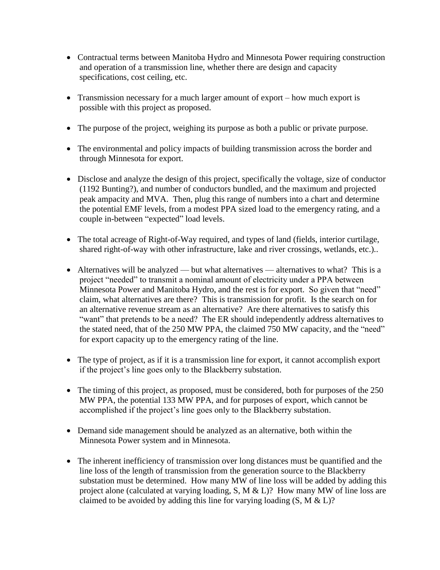- Contractual terms between Manitoba Hydro and Minnesota Power requiring construction and operation of a transmission line, whether there are design and capacity specifications, cost ceiling, etc.
- Transmission necessary for a much larger amount of export how much export is possible with this project as proposed.
- The purpose of the project, weighing its purpose as both a public or private purpose.
- The environmental and policy impacts of building transmission across the border and through Minnesota for export.
- Disclose and analyze the design of this project, specifically the voltage, size of conductor (1192 Bunting?), and number of conductors bundled, and the maximum and projected peak ampacity and MVA. Then, plug this range of numbers into a chart and determine the potential EMF levels, from a modest PPA sized load to the emergency rating, and a couple in-between "expected" load levels.
- The total acreage of Right-of-Way required, and types of land (fields, interior curtilage, shared right-of-way with other infrastructure, lake and river crossings, wetlands, etc.)..
- Alternatives will be analyzed but what alternatives alternatives to what? This is a project "needed" to transmit a nominal amount of electricity under a PPA between Minnesota Power and Manitoba Hydro, and the rest is for export. So given that "need" claim, what alternatives are there? This is transmission for profit. Is the search on for an alternative revenue stream as an alternative? Are there alternatives to satisfy this "want" that pretends to be a need? The ER should independently address alternatives to the stated need, that of the 250 MW PPA, the claimed 750 MW capacity, and the "need" for export capacity up to the emergency rating of the line.
- The type of project, as if it is a transmission line for export, it cannot accomplish export if the project's line goes only to the Blackberry substation.
- The timing of this project, as proposed, must be considered, both for purposes of the 250 MW PPA, the potential 133 MW PPA, and for purposes of export, which cannot be accomplished if the project's line goes only to the Blackberry substation.
- Demand side management should be analyzed as an alternative, both within the Minnesota Power system and in Minnesota.
- The inherent inefficiency of transmission over long distances must be quantified and the line loss of the length of transmission from the generation source to the Blackberry substation must be determined. How many MW of line loss will be added by adding this project alone (calculated at varying loading, S, M & L)? How many MW of line loss are claimed to be avoided by adding this line for varying loading  $(S, M & L)$ ?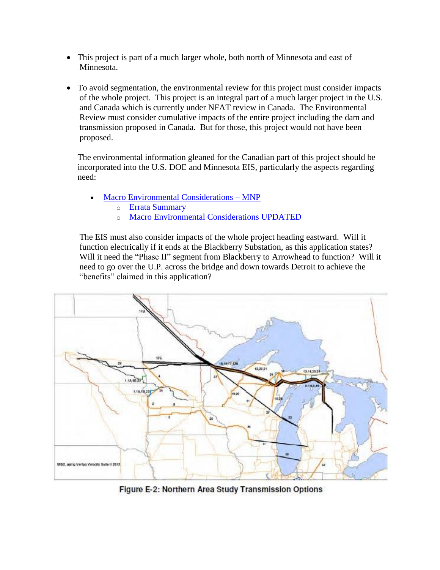- This project is part of a much larger whole, both north of Minnesota and east of Minnesota.
- To avoid segmentation, the environmental review for this project must consider impacts of the whole project. This project is an integral part of a much larger project in the U.S. and Canada which is currently under NFAT review in Canada. The Environmental Review must consider cumulative impacts of the entire project including the dam and transmission proposed in Canada. But for those, this project would not have been proposed.

The environmental information gleaned for the Canadian part of this project should be incorporated into the U.S. DOE and Minnesota EIS, particularly the aspects regarding need:

- [Macro Environmental Considerations –](http://pub.gov.mb.ca/nfat/mnp_report_jan_20_2014.pdf) MNP
	- o [Errata Summary](http://pub.gov.mb.ca/nfat/nfat/pdf/errata_summary_feb1414.pdf)
	- o [Macro Environmental Considerations UPDATED](http://pub.gov.mb.ca/nfat/nfat/pdf/macro_environmental_conserations_redacted.pdf)

The EIS must also consider impacts of the whole project heading eastward. Will it function electrically if it ends at the Blackberry Substation, as this application states? Will it need the "Phase II" segment from Blackberry to Arrowhead to function? Will it need to go over the U.P. across the bridge and down towards Detroit to achieve the "benefits" claimed in this application?



Figure E-2: Northern Area Study Transmission Options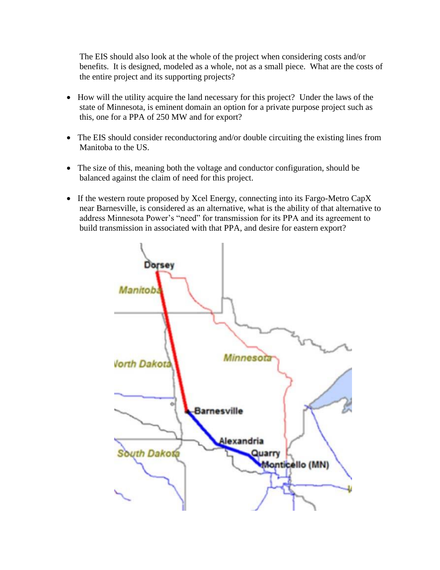The EIS should also look at the whole of the project when considering costs and/or benefits. It is designed, modeled as a whole, not as a small piece. What are the costs of the entire project and its supporting projects?

- How will the utility acquire the land necessary for this project? Under the laws of the state of Minnesota, is eminent domain an option for a private purpose project such as this, one for a PPA of 250 MW and for export?
- The EIS should consider reconductoring and/or double circuiting the existing lines from Manitoba to the US.
- The size of this, meaning both the voltage and conductor configuration, should be balanced against the claim of need for this project.
- If the western route proposed by Xcel Energy, connecting into its Fargo-Metro CapX near Barnesville, is considered as an alternative, what is the ability of that alternative to address Minnesota Power's "need" for transmission for its PPA and its agreement to build transmission in associated with that PPA, and desire for eastern export?